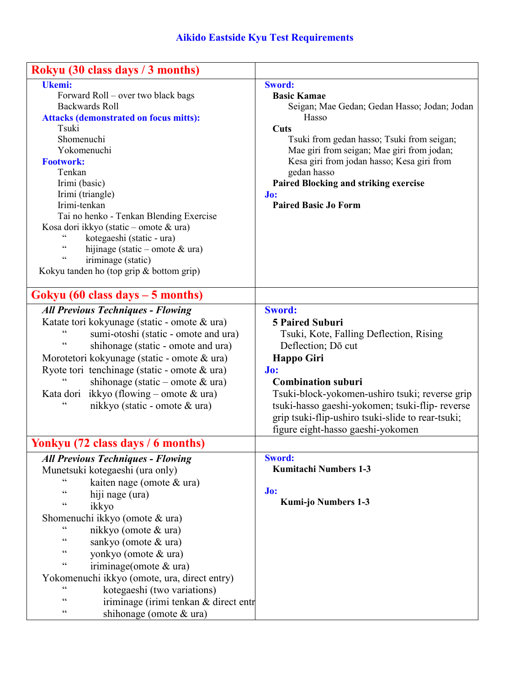| Rokyu (30 class days / 3 months)                                                                                                                                                                                                                                                                                                                                                                                                                                                                                                                         |                                                                                                                                                                                                                                                                                                                                                                  |
|----------------------------------------------------------------------------------------------------------------------------------------------------------------------------------------------------------------------------------------------------------------------------------------------------------------------------------------------------------------------------------------------------------------------------------------------------------------------------------------------------------------------------------------------------------|------------------------------------------------------------------------------------------------------------------------------------------------------------------------------------------------------------------------------------------------------------------------------------------------------------------------------------------------------------------|
| Ukemi:<br>Forward Roll – over two black bags<br><b>Backwards Roll</b><br><b>Attacks (demonstrated on focus mitts):</b><br>Tsuki<br>Shomenuchi<br>Yokomenuchi<br><b>Footwork:</b><br>Tenkan<br>Irimi (basic)<br>Irimi (triangle)<br>Irimi-tenkan<br>Tai no henko - Tenkan Blending Exercise<br>Kosa dori ikkyo (static - omote & ura)<br>$\zeta$ $\zeta$<br>kotegaeshi (static - ura)<br>$\zeta$ $\zeta$<br>hijinage (static – omote $\&$ ura)<br>$\zeta$ $\zeta$<br>iriminage (static)<br>Kokyu tanden ho (top grip $&$ bottom grip)                     | <b>Sword:</b><br><b>Basic Kamae</b><br>Seigan; Mae Gedan; Gedan Hasso; Jodan; Jodan<br>Hasso<br>Cuts<br>Tsuki from gedan hasso; Tsuki from seigan;<br>Mae giri from seigan; Mae giri from jodan;<br>Kesa giri from jodan hasso; Kesa giri from<br>gedan hasso<br>Paired Blocking and striking exercise<br>Jo:<br><b>Paired Basic Jo Form</b>                     |
| Gokyu $(60 \text{ class days} - 5 \text{ months})$                                                                                                                                                                                                                                                                                                                                                                                                                                                                                                       |                                                                                                                                                                                                                                                                                                                                                                  |
| <b>All Previous Techniques - Flowing</b><br>Katate tori kokyunage (static - omote & ura)<br>$\zeta$ $\zeta$<br>sumi-otoshi (static - omote and ura)<br>$\epsilon$<br>shihonage (static - omote and ura)<br>Morotetori kokyunage (static - omote & ura)<br>Ryote tori tenchinage (static - omote $\&$ ura)<br>shihonage (static – omote $\&$ ura)<br>ikkyo (flowing – omote $\&$ ura)<br>Kata dori<br>$\boldsymbol{\zeta}$<br>nikkyo (static - omote & ura)                                                                                               | <b>Sword:</b><br><b>5 Paired Suburi</b><br>Tsuki, Kote, Falling Deflection, Rising<br>Deflection; Dō cut<br><b>Happo Giri</b><br>Jo:<br><b>Combination suburi</b><br>Tsuki-block-yokomen-ushiro tsuki; reverse grip<br>tsuki-hasso gaeshi-yokomen; tsuki-flip- reverse<br>grip tsuki-flip-ushiro tsuki-slide to rear-tsuki;<br>figure eight-hasso gaeshi-yokomen |
| Yonkyu (72 class days / 6 months)                                                                                                                                                                                                                                                                                                                                                                                                                                                                                                                        |                                                                                                                                                                                                                                                                                                                                                                  |
| <b>All Previous Techniques - Flowing</b><br>Munetsuki kotegaeshi (ura only)<br>cc<br>kaiten nage (omote $\&$ ura)<br>$\zeta$ $\zeta$<br>hiji nage (ura)<br>$\epsilon$<br>ikkyo<br>Shomenuchi ikkyo (omote & ura)<br>nikkyo (omote & ura)<br>cc<br>sankyo (omote & ura)<br>$\zeta$ $\zeta$<br>yonkyo (omote & ura)<br>$\zeta$ $\zeta$<br>iriminage(omote & ura)<br>Yokomenuchi ikkyo (omote, ura, direct entry)<br>cc<br>kotegaeshi (two variations)<br>$\epsilon$<br>iriminage (irimi tenkan & direct entr<br>$\zeta$ $\zeta$<br>shihonage (omote & ura) | <b>Sword:</b><br><b>Kumitachi Numbers 1-3</b><br>Jo:<br><b>Kumi-jo Numbers 1-3</b>                                                                                                                                                                                                                                                                               |